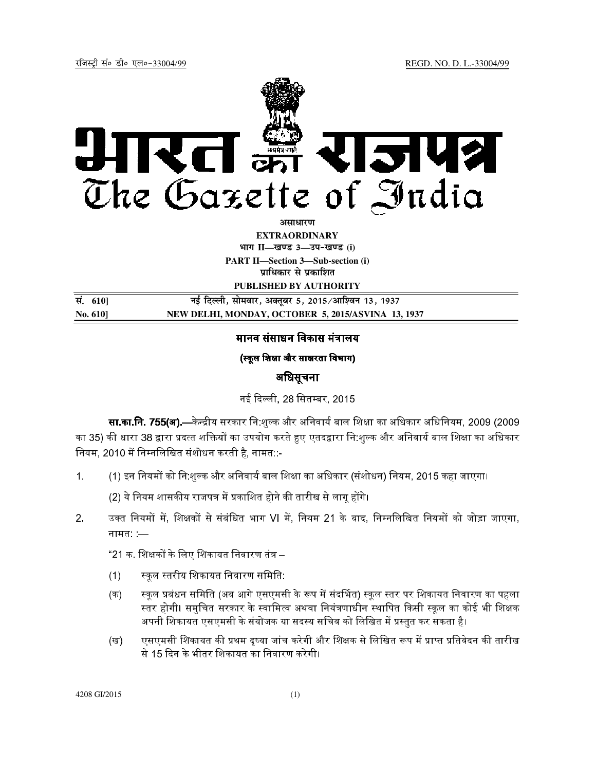

असाधा**र**ण

**EXTRAORDINARY Hkkx II—[k.M 3—mi&[k.M (i)**

**PART II—Section 3—Sub-section (i) प्राधिकार से प्रकाशित** 

**PUBLISHED BY AUTHORITY**

**la- 610] ubZ fnYyh] lkseokj] vDrwcj 5] 2015@vkf'ou 13] 1937 No. 610] NEW DELHI, MONDAY, OCTOBER 5, 2015/ASVINA 13, 1937**

# मानव संसाधन विकास मंत्रालय

## (स्कूल शिक्षा और साक्षरता विभाग)

## अिधसूचना

नई दिल्ली, 28 सितम्बर, 2015

**सा.का.नि. 755(अ).**—केन्द्रीय सरकार नि:शुल्क और अनिवार्य बाल शिक्षा का अधिकार अधिनियम, 2009 (2009 का 35) की धारा 38 द्वारा प्रदत्त शक्तियों का उपयोग करते हुए एतदद्वारा नि:शुल्क और अनिवार्य बाल शिक्षा का अधिकार नियम, 2010 में निम्नलिखित संशोधन करती है, नामत::-

1. (1) इन नियमों को नि:शुल्क और अनिवार्य बाल शिक्षा का अधिकार (संशोधन) नियम, 2015 कहा जाएगा।

(2) ये नियम शासकीय राजपत्र में प्रकाशित होने की तारीख से लागू होंगे।

2. उक्त नियमों में, शिक्षकों से संबंधित भाग VI में, नियम 21 के बाद, निम्नलिखित नियमों को जोड़ा जाएगा, नामत: :—

"21 क. शिक्षकों के लिए शिकायत निवारण तंत्र –

- (1) = कूल = तरीय िशकायत िनवारण सिमित:
- (क) स्कूल प्रबंधन समिति (अब आगे एसएमसी के रूप में संदर्भित) स्कूल स्तर पर शिकायत निवारण का पहला स्तर होगी। समुचित सरकार के स्वामित्व अथवा नियंत्रणाधीन स्थापित किसी स्कुल का कोई भी शिक्षक अपनी शिकायत एसएमसी के संयोजक या सदस्य सचिव को लिखित में प्रस्तुत कर सकता है।
- (ख) एसएमसी शिकायत की प्रथम दृष्या जांच करेगी और शिक्षक से लिखित रूप में प्राप्त प्रतिवेदन की तारीख से 15 दन के भीतर िशकायत का िनवारण करेगी।

4208 GI/2015 (1)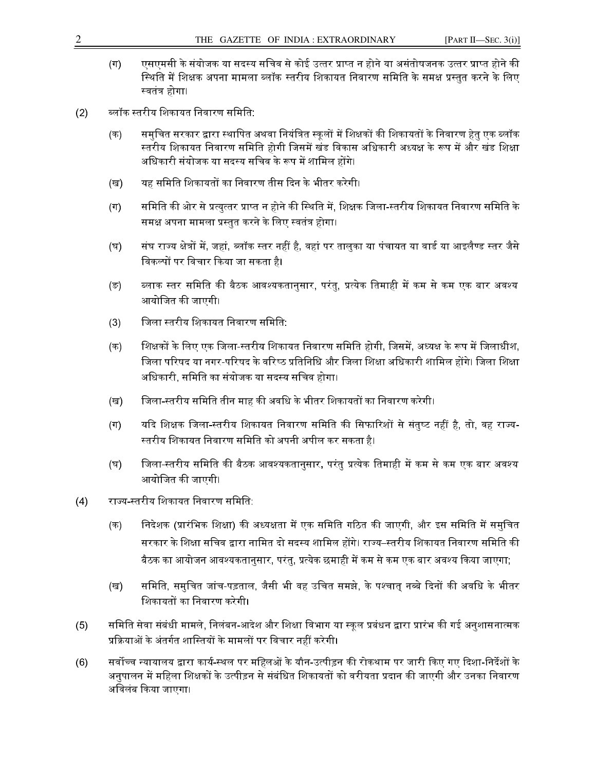- (ग) एसएमसी के संयोजक या सदस्य सचिव से कोई उत्तर प्राप्त न होने या असंतोषजनक उत्तर प्राप्त होने की स्थिति में शिक्षक अपना मामला ब्लॉक स्तरीय शिकायत निवारण समिति के समक्ष प्रस्तुत करने के लिए स्वतंत्र होगा।
- (2) ब्लॉक स्तरीय शिकायत निवारण समिति:
	- (क) समुचित सरकार द्वारा स्थापित अथवा नियंत्रित स्कूलों में शिक्षकों की शिकायतों के निवारण हेतु एक ब्लॉक स्तरीय शिकायत निवारण समिति होगी जिसमें खंड विकास अधिकारी अध्यक्ष के रूप में और खंड शिक्षा अधिकारी संयोजक या सदस्य सचिव के रूप में शामिल होंगे।
	- (ख) यह समिति शिकायतों का निवारण तीस दिन के भीतर करेगी।
	- (ग) समिति की ओर से प्रत्युत्तर प्राप्त न होने की स्थिति में, शिक्षक जिला-स्तरीय शिकायत निवारण समिति के समक्ष अपना मामला प्रस्तुत करने के लिए स्वतंत्र होगा।
	- (घ) संघ राज्य क्षेत्रों में, जहां, ब्लॉक स्तर नहीं है, वहां पर तालुका या पंचायत या वार्ड या आइलैण्ड स्तर जैसे विकल्पों पर विचार किया जा सकता है।
	- (ङ) ब्लाक स्तर समिति की बैठक आवश्यकतानुसार, परंतु, प्रत्येक तिमाही में कम से कम एक बार अवश्य आयोजित की जाएगी।
	- (3) जिला स्तरीय शिकायत निवारण समिति:
	- (क) शिक्षकों के लिए एक जिला-स्तरीय शिकायत निवारण समिति होगी, जिसमें, अध्यक्ष के रूप में जिलाधीश, जिला परिषद या नगर-परिषद के वरिष्ठ प्रतिनिधि और जिला शिक्षा अधिकारी शामिल होंगे। जिला शिक्षा अधिकारी, समिति का संयोजक या सदस्य सचिव होगा।
	- (ख) जिला-स्तरीय समिति तीन माह की अवधि के भीतर शिकायतों का निवारण करेगी।
	- (ग) यदि शिक्षक जिला-स्तरीय शिकायत निवारण समिति की सिफारिशों से संतुष्ट नहीं है, तो, वह राज्य-स्तरीय शिकायत निवारण समिति को अपनी अपील कर सकता है।
	- (घ) जिला-स्तरीय समिति की बैठक आवश्यकतानुसार, परंतु प्रत्येक तिमाही में कम से कम एक बार अवश्य आयोजित की जाएगी।
- (4) राज्य-स्तरीय शिकायत निवारण समिति:
	- (क) निदेशक (प्रारंभिक शिक्षा) की अध्यक्षता में एक समिति गठित की जाएगी, और इस समिति में समुचित सरकार के शिक्षा सचिव द्वारा नामित दो सदस्य शामिल होंगे। राज्य–स्तरीय शिकायत निवारण समिति की बैठक का आयोजन आवश्यकतानुसार, परंतु, प्रत्येक छमाही में कम से कम एक बार अवश्य किया जाएगा;
	- (ख) समिति, समुचित जांच-पड़ताल, जैसी भी वह उचित समझे, के पश्चात् नब्बे दिनों की अवधि के भीतर शिकायतों का निवारण करेगी।
- (5) समिति सेवा संबंधी मामले, निलंबन-आदेश और शिक्षा विभाग या स्कूल प्रबंधन द्वारा प्रारंभ की गई अनुशासनात्मक प्रक्रियाओं के अंतर्गत शास्तियों के मामलों पर विचार नहीं करेगी।
- (6) सर्वोच्च न्यायालय द्वारा कार्य-स्थल पर महिलओं के यौन-उत्पीड़न की रोकथाम पर जारी किए गए दिशा-निर्देशों के अनुपालन में महिला शिक्षकों के उत्पीड़न से संबंधित शिकायतों को वरीयता प्रदान की जाएगी और उनका निवारण अिवलंब कया जाएगा।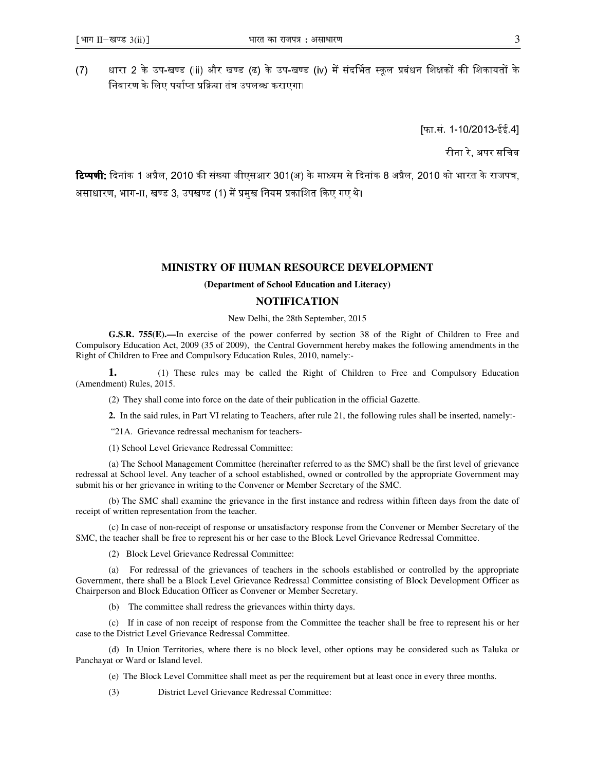(7) धारा 2 के उप-खण्ड (iii) और खण्ड (ढ) के उप-खण्ड (iv) में संदर्भित स्कूल प्रबंधन शिक्षकों की शिकायतों के निवारण के लिए पर्याप्त प्रक्रिया तंत्र उपलब्ध कराएगा।

[फा.सं. 1-10/2013-ईई.4]

रीना रे, अपर सिचव

**टिप्पणी**: दिनांक 1 अप्रैल, 2010 की संख्या जीएसआर 301(अ) के माध्यम से दिनांक 8 अप्रैल, 2010 को भारत के राजपत्र, असाधारण, भाग- $\rm{II}$ , खण्ड 3, उपखण्ड (1) में प्रमुख नियम प्रकाशित किए गए थे।

## **MINISTRY OF HUMAN RESOURCE DEVELOPMENT**

### **(Department of School Education and Literacy)**

### **NOTIFICATION**

#### New Delhi, the 28th September, 2015

**G.S.R. 755(E).—**In exercise of the power conferred by section 38 of the Right of Children to Free and Compulsory Education Act, 2009 (35 of 2009), the Central Government hereby makes the following amendments in the Right of Children to Free and Compulsory Education Rules, 2010, namely:-

**1.** (1) These rules may be called the Right of Children to Free and Compulsory Education (Amendment) Rules, 2015.

(2) They shall come into force on the date of their publication in the official Gazette.

**2.** In the said rules, in Part VI relating to Teachers, after rule 21, the following rules shall be inserted, namely:-

"21A. Grievance redressal mechanism for teachers-

(1) School Level Grievance Redressal Committee:

(a) The School Management Committee (hereinafter referred to as the SMC) shall be the first level of grievance redressal at School level. Any teacher of a school established, owned or controlled by the appropriate Government may submit his or her grievance in writing to the Convener or Member Secretary of the SMC.

(b) The SMC shall examine the grievance in the first instance and redress within fifteen days from the date of receipt of written representation from the teacher.

(c) In case of non-receipt of response or unsatisfactory response from the Convener or Member Secretary of the SMC, the teacher shall be free to represent his or her case to the Block Level Grievance Redressal Committee.

(2) Block Level Grievance Redressal Committee:

(a) For redressal of the grievances of teachers in the schools established or controlled by the appropriate Government, there shall be a Block Level Grievance Redressal Committee consisting of Block Development Officer as Chairperson and Block Education Officer as Convener or Member Secretary.

(b) The committee shall redress the grievances within thirty days.

(c) If in case of non receipt of response from the Committee the teacher shall be free to represent his or her case to the District Level Grievance Redressal Committee.

(d) In Union Territories, where there is no block level, other options may be considered such as Taluka or Panchayat or Ward or Island level.

(e) The Block Level Committee shall meet as per the requirement but at least once in every three months.

(3) District Level Grievance Redressal Committee: